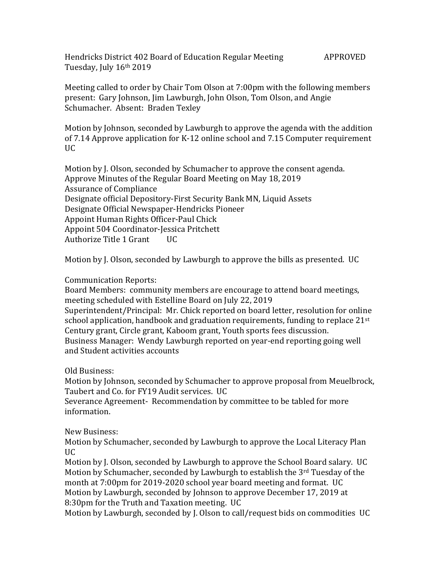Hendricks District 402 Board of Education Regular Meeting APPROVED Tuesday, July 16th 2019

Meeting called to order by Chair Tom Olson at 7:00pm with the following members present: Gary Johnson, Jim Lawburgh, John Olson, Tom Olson, and Angie Schumacher. Absent: Braden Texley

Motion by Johnson, seconded by Lawburgh to approve the agenda with the addition of 7.14 Approve application for K-12 online school and 7.15 Computer requirement  $\overline{U}$ 

Motion by J. Olson, seconded by Schumacher to approve the consent agenda. Approve Minutes of the Regular Board Meeting on May 18, 2019 Assurance of Compliance Designate official Depository-First Security Bank MN, Liquid Assets Designate Official Newspaper-Hendricks Pioneer Appoint Human Rights Officer-Paul Chick Appoint 504 Coordinator-Jessica Pritchett Authorize Title 1 Grant UC

Motion by J. Olson, seconded by Lawburgh to approve the bills as presented. UC

## Communication Reports:

Board Members: community members are encourage to attend board meetings, meeting scheduled with Estelline Board on July 22, 2019 Superintendent/Principal: Mr. Chick reported on board letter, resolution for online school application, handbook and graduation requirements, funding to replace 21<sup>st</sup> Century grant, Circle grant, Kaboom grant, Youth sports fees discussion. Business Manager: Wendy Lawburgh reported on year-end reporting going well and Student activities accounts

Old Business:

Motion by Johnson, seconded by Schumacher to approve proposal from Meuelbrock, Taubert and Co. for FY19 Audit services. UC

Severance Agreement- Recommendation by committee to be tabled for more information.

New Business:

Motion by Schumacher, seconded by Lawburgh to approve the Local Literacy Plan UC

Motion by J. Olson, seconded by Lawburgh to approve the School Board salary. UC Motion by Schumacher, seconded by Lawburgh to establish the 3rd Tuesday of the month at 7:00pm for 2019-2020 school year board meeting and format. UC Motion by Lawburgh, seconded by Johnson to approve December 17, 2019 at 8:30pm for the Truth and Taxation meeting. UC

Motion by Lawburgh, seconded by J. Olson to call/request bids on commodities UC